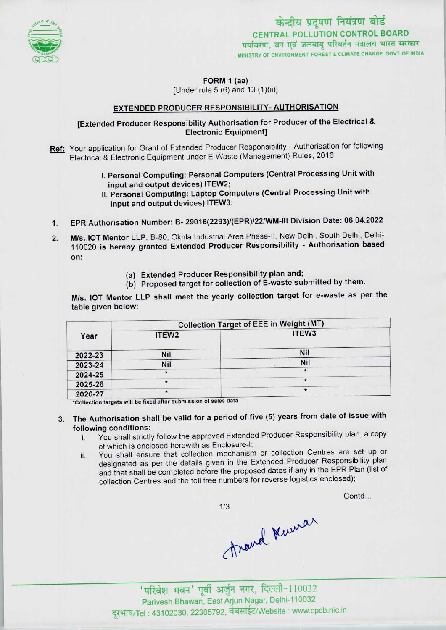

केन्द्रीय प्रदूषण नियंत्रण बोर्ड CENTRAL POLLUTION CONTROL BOARD पर्यावरण, वन एवं जलवाय परिवर्तन मंत्रालय भारत सरकार . MINISTRY OF ENVIRONMENT, FOREST & CLIMATE CHANGE GOVT. OF INDIA

FORM 1 (aa)

[Under rule 5 (6) and 13 (1)(ii)]

### EXTENDED PRODUCER RESPONSIBILITY- AUTHORISATION

[Extended Producer Responsibility Authorisation for Producer of the Electrical & Electronic Equipment]

Ref: Your application for Grant of Extended Producer Responsibility - Authorisation for following Electrical & Electronic Equipment under E-Waste (Management) Rules, 2016

- I.Personal Computing: Personal Computers (Central Processing Unit with input and output devices) ITEW2;
- II.Personal Computing: Laptop Computers(Central Processing Unit with input and output devices) ITEW3:
- 1.<br>1. EPR Authorisation Number: B- 29016(2293)/(EPR)/22/WM-III Division Date: 06.04.2022
- 2. EPR Authorisation Number: B- 29016(2293)/(EPR)/22/WM-III Division Date: 06.04.2022<br>2. M/s. IOT Mentor LLP, B-80, Okhla Industrial Area Phase-II, New Delhi, South Delhi, Delhi-M/s. IOT Mentor LLP, B-80, Okhla Industrial Area Phase-II, New Delhi, South Delhi, Delhi-<br>110020 is hereby granted Extended Producer Responsibility - Authorisation based on:
	- (a) Extended Producer Responsibility plan and;
	- (b) Proposed target for collection of E-waste submitted by them.

M/s. IOT Mentor LLP shall meet the yearly collection target for e-waste as per the table given below:

| Year    | <b>Collection Target of EEE in Weight (MT)</b> |                   |
|---------|------------------------------------------------|-------------------|
|         | ITEW <sub>2</sub>                              | ITEW <sub>3</sub> |
| 2022-23 | Nil                                            | Nil               |
| 2023-24 | Nil                                            | Nil               |
| 2024-25 | $\star$                                        |                   |
| 2025-26 |                                                |                   |
| 2026-27 |                                                | $\star$           |

\*Collection targets will be fixed after submission of sales data

# 3. The Authorisation shall be valid for a period of five (5) years from date of issue with following conditions:

- i. You shall strictly follow the approved Extended Producer Responsibility plan, <sup>a</sup> copy ofwhich is enclosed herewith as Enclosure-I;
- ii. You shall ensure that collection mechanism or collection Centres are set up or designated as per the details given in the Extended Producer Responsibility plan and that shall be completed before the proposed dates if any in the EPR Plan (list of collection Centres and the toll free numbers for reverse logistics enclosed);

Contd...

 $1/3$ 

mand Kunnar

Parivesh Bhawan, East Arjun Nagar, Delhi-110032 दूरभाष/Tel: 43102030, 22305792, वेबसाईट/Website : www.cpcb.nic.in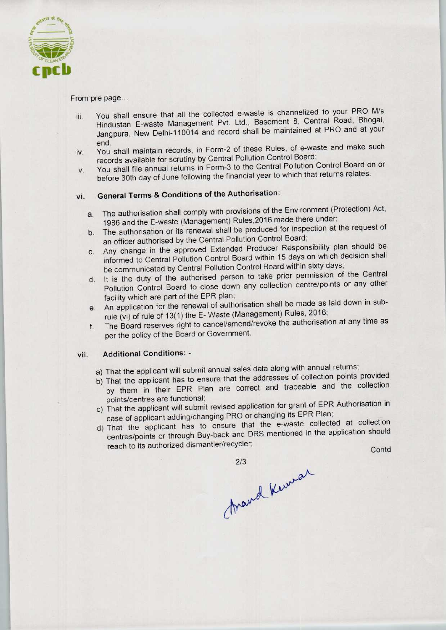

From pre page...

- iii. You shall ensure that all the collected e-waste is channelized to your PRO M/s Hindustan E-waste Management Pvt. Ltd., Basement 8, Central Road, Bhogal, Jangpura, New Deihi-110014 and record shall be maintained at PRO and at your
- end.<br>In You shall maintain records, in Form-2 of these Rules, of e-waste and make such records available for scrutiny by Central Pollution Control Board; iv. You shall maintain records, in Form-2 or these Rules, or e-waste and make such<br>records available for scrutiny by Central Pollution Control Board;<br>v. You shall file annual returns in Form-3 to the Central Pollution Cont
- before 30th day of June following the financial year to which that returns relates.

## vi. General Terms & Conditions of the Authorisation:

- a.The authorisation shall comply with provisions of the Environment (Protection) Act, 1986 and the E-waste (Management) Rules, 2016 made there under;
- b. The authorisation or its renewal shall be produced for inspection at the request of an officer authorised by the Central Pollution Control Board;
- c.Any change in the approved Extended Producer Responsibility plan should be informed to Central Pollution Control Board within 15 days on which decision shall be communicated by Central Pollution Control Board within sixty days;
- d. It is the duty of the authorised person to take prior permission of the Central Pollution Control Board to close down any collection centre/points or any other facility which are part of the EPR plan;
- e.An application for the renewal of authorisation shall be made as laid down in subrule (vi) of rule of 13(1) the E- Waste (Management) Rules, 2016;
- f.The Board reserves right to cancel/amend/revoke the authorisation at any time as perthe policy of the Board or Government.

### vii. Additional Conditions: -

- a) That the applicant will submit annual sales data along with annual returns;
- b) That the applicant has to ensure that the addresses of collection points provided by them in their EPR Plan are correct and traceable and the collection points/centres are functional;
- points/centres are functional;<br>c) That the applicant will submit revised application for grant of EPR Authorisation in case of applicant adding/changing PRO or changing its EPR Plan;
- d)That the applicant has to ensure that the e-waste collected at collection centres/points or through Buy-back and DRS mentioned in the application should Production Control Board to close down any collection centrality which are part of the EPR plan;<br>
In application for the enewal of authorisation shall be made to the renewal of authorisation shall be made in the model of le and the collection<br>of EPR Authorisation in<br>R Plan;<br>collected at collection<br>the application should<br>Contd

Arand Kernson